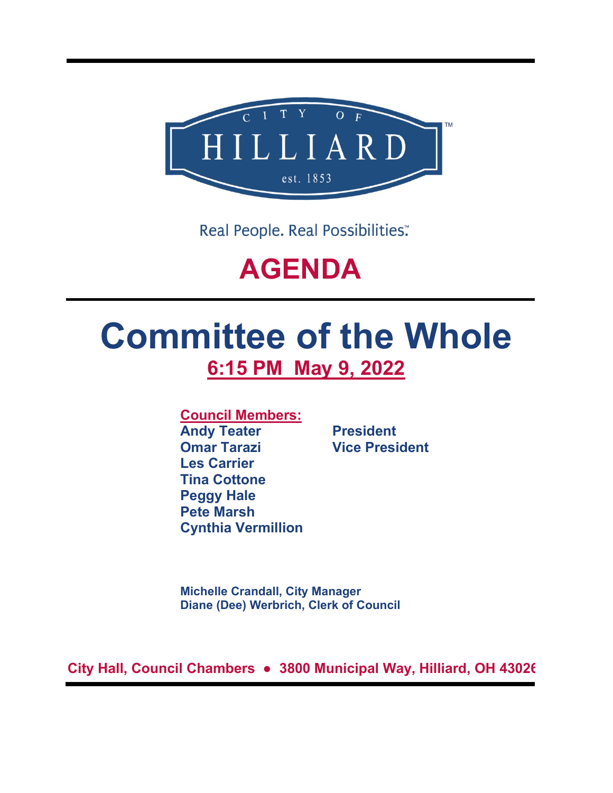

Real People. Real Possibilities:

## **AGENDA**

# **Committee of the Whole 6:15 PM May 9, 2022**

**Council Members:**

**Andy Teater President Omar Tarazi Vice President Les Carrier Tina Cottone Peggy Hale Pete Marsh Cynthia Vermillion**

**Michelle Crandall, City Manager Diane (Dee) Werbrich, Clerk of Council**

**City Hall, Council Chambers ● 3800 Municipal Way, Hilliard, OH 43026**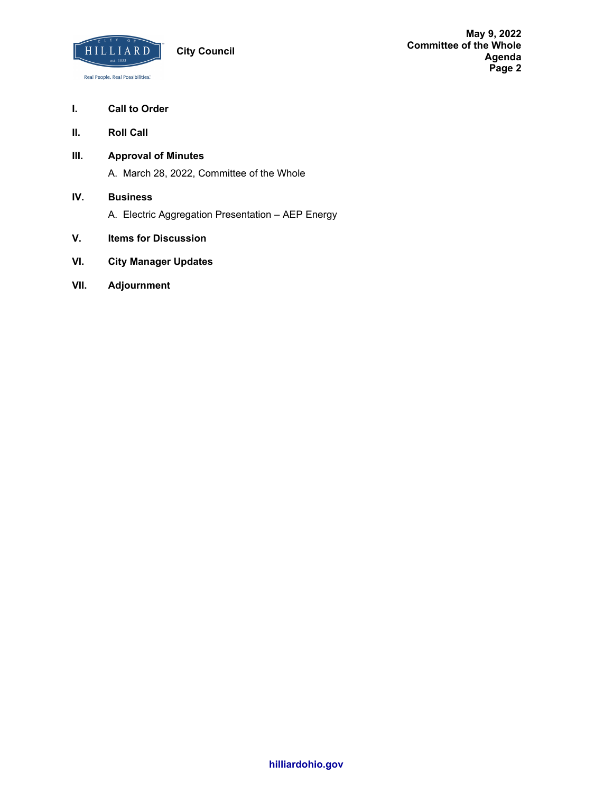

## **I. Call to Order**

- **II. Roll Call**
- **III. Approval of Minutes** A. March 28, 2022, Committee of the Whole
	-
- **IV. Business**
	- A. Electric Aggregation Presentation AEP Energy
- **V. Items for Discussion**
- **VI. City Manager Updates**
- **VII. Adjournment**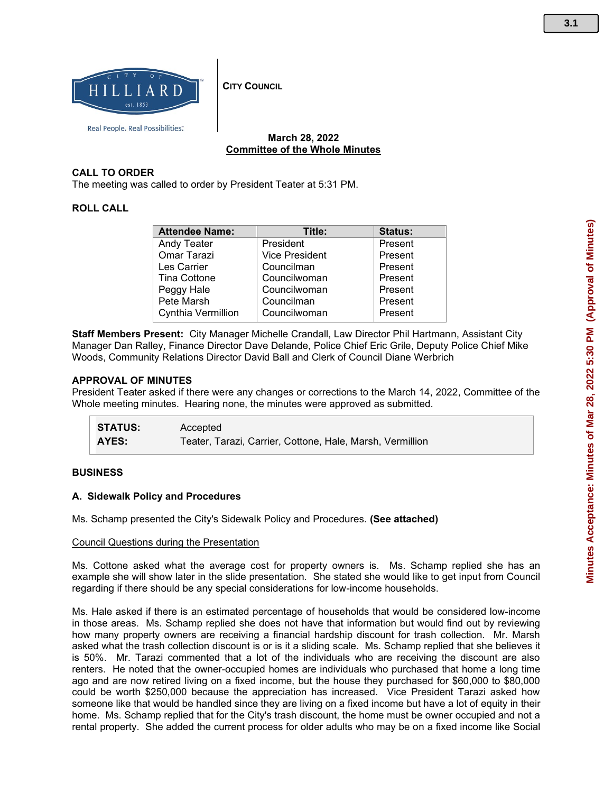

**CITY COUNCIL** 

## **March 28, 2022 Committee of the Whole Minutes**

## **CALL TO ORDER**

The meeting was called to order by President Teater at 5:31 PM.

## **ROLL CALL**

| <b>Attendee Name:</b> | Title:                | <b>Status:</b> |
|-----------------------|-----------------------|----------------|
| <b>Andy Teater</b>    | President             | Present        |
| Omar Tarazi           | <b>Vice President</b> | Present        |
| Les Carrier           | Councilman            | Present        |
| <b>Tina Cottone</b>   | Councilwoman          | Present        |
| Peggy Hale            | Councilwoman          | Present        |
| Pete Marsh            | Councilman            | Present        |
| Cynthia Vermillion    | Councilwoman          | Present        |

**Staff Members Present:** City Manager Michelle Crandall, Law Director Phil Hartmann, Assistant City Manager Dan Ralley, Finance Director Dave Delande, Police Chief Eric Grile, Deputy Police Chief Mike Woods, Community Relations Director David Ball and Clerk of Council Diane Werbrich

#### **APPROVAL OF MINUTES**

President Teater asked if there were any changes or corrections to the March 14, 2022, Committee of the Whole meeting minutes. Hearing none, the minutes were approved as submitted.

| <b>STATUS:</b> | Accepted                                                  |
|----------------|-----------------------------------------------------------|
| <b>AYES:</b>   | Teater, Tarazi, Carrier, Cottone, Hale, Marsh, Vermillion |

#### **BUSINESS**

#### **A. Sidewalk Policy and Procedures**

Ms. Schamp presented the City's Sidewalk Policy and Procedures. **(See attached)**

#### Council Questions during the Presentation

Ms. Cottone asked what the average cost for property owners is. Ms. Schamp replied she has an example she will show later in the slide presentation. She stated she would like to get input from Council regarding if there should be any special considerations for low-income households.

Ms. Hale asked if there is an estimated percentage of households that would be considered low-income in those areas. Ms. Schamp replied she does not have that information but would find out by reviewing how many property owners are receiving a financial hardship discount for trash collection. Mr. Marsh asked what the trash collection discount is or is it a sliding scale. Ms. Schamp replied that she believes it is 50%. Mr. Tarazi commented that a lot of the individuals who are receiving the discount are also renters. He noted that the owner-occupied homes are individuals who purchased that home a long time ago and are now retired living on a fixed income, but the house they purchased for \$60,000 to \$80,000 could be worth \$250,000 because the appreciation has increased. Vice President Tarazi asked how someone like that would be handled since they are living on a fixed income but have a lot of equity in their home. Ms. Schamp replied that for the City's trash discount, the home must be owner occupied and not a rental property. She added the current process for older adults who may be on a fixed income like Social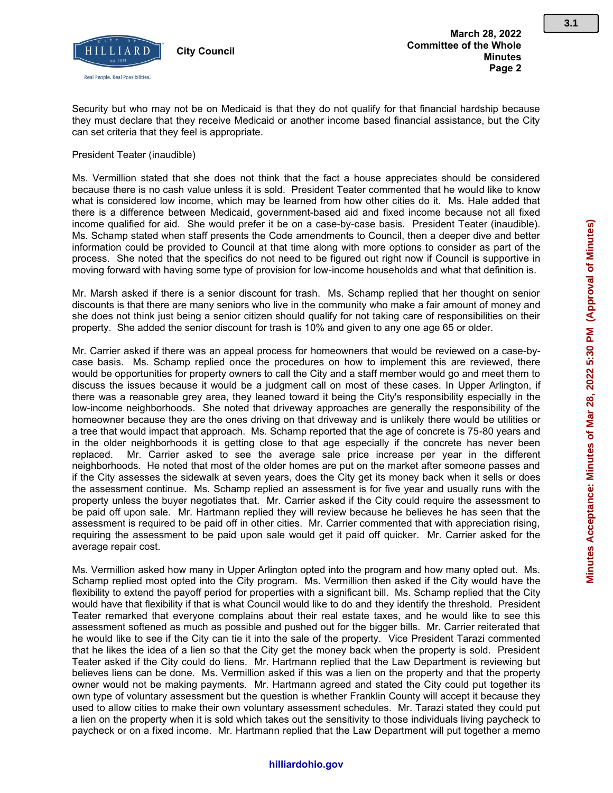

Security but who may not be on Medicaid is that they do not qualify for that financial hardship because they must declare that they receive Medicaid or another income based financial assistance, but the City can set criteria that they feel is appropriate.

#### President Teater (inaudible)

Ms. Vermillion stated that she does not think that the fact a house appreciates should be considered because there is no cash value unless it is sold. President Teater commented that he would like to know what is considered low income, which may be learned from how other cities do it. Ms. Hale added that there is a difference between Medicaid, government-based aid and fixed income because not all fixed income qualified for aid. She would prefer it be on a case-by-case basis. President Teater (inaudible). Ms. Schamp stated when staff presents the Code amendments to Council, then a deeper dive and better information could be provided to Council at that time along with more options to consider as part of the process. She noted that the specifics do not need to be figured out right now if Council is supportive in moving forward with having some type of provision for low-income households and what that definition is.

Mr. Marsh asked if there is a senior discount for trash. Ms. Schamp replied that her thought on senior discounts is that there are many seniors who live in the community who make a fair amount of money and she does not think just being a senior citizen should qualify for not taking care of responsibilities on their property. She added the senior discount for trash is 10% and given to any one age 65 or older.

Mr. Carrier asked if there was an appeal process for homeowners that would be reviewed on a case-bycase basis. Ms. Schamp replied once the procedures on how to implement this are reviewed, there would be opportunities for property owners to call the City and a staff member would go and meet them to discuss the issues because it would be a judgment call on most of these cases. In Upper Arlington, if there was a reasonable grey area, they leaned toward it being the City's responsibility especially in the low-income neighborhoods. She noted that driveway approaches are generally the responsibility of the homeowner because they are the ones driving on that driveway and is unlikely there would be utilities or a tree that would impact that approach. Ms. Schamp reported that the age of concrete is 75-80 years and in the older neighborhoods it is getting close to that age especially if the concrete has never been replaced. Mr. Carrier asked to see the average sale price increase per year in the different neighborhoods. He noted that most of the older homes are put on the market after someone passes and if the City assesses the sidewalk at seven years, does the City get its money back when it sells or does the assessment continue. Ms. Schamp replied an assessment is for five year and usually runs with the property unless the buyer negotiates that. Mr. Carrier asked if the City could require the assessment to be paid off upon sale. Mr. Hartmann replied they will review because he believes he has seen that the assessment is required to be paid off in other cities. Mr. Carrier commented that with appreciation rising, requiring the assessment to be paid upon sale would get it paid off quicker. Mr. Carrier asked for the average repair cost.

Ms. Vermillion asked how many in Upper Arlington opted into the program and how many opted out. Ms. Schamp replied most opted into the City program. Ms. Vermillion then asked if the City would have the flexibility to extend the payoff period for properties with a significant bill. Ms. Schamp replied that the City would have that flexibility if that is what Council would like to do and they identify the threshold. President Teater remarked that everyone complains about their real estate taxes, and he would like to see this assessment softened as much as possible and pushed out for the bigger bills. Mr. Carrier reiterated that he would like to see if the City can tie it into the sale of the property. Vice President Tarazi commented that he likes the idea of a lien so that the City get the money back when the property is sold. President Teater asked if the City could do liens. Mr. Hartmann replied that the Law Department is reviewing but believes liens can be done. Ms. Vermillion asked if this was a lien on the property and that the property owner would not be making payments. Mr. Hartmann agreed and stated the City could put together its own type of voluntary assessment but the question is whether Franklin County will accept it because they used to allow cities to make their own voluntary assessment schedules. Mr. Tarazi stated they could put a lien on the property when it is sold which takes out the sensitivity to those individuals living paycheck to paycheck or on a fixed income. Mr. Hartmann replied that the Law Department will put together a memo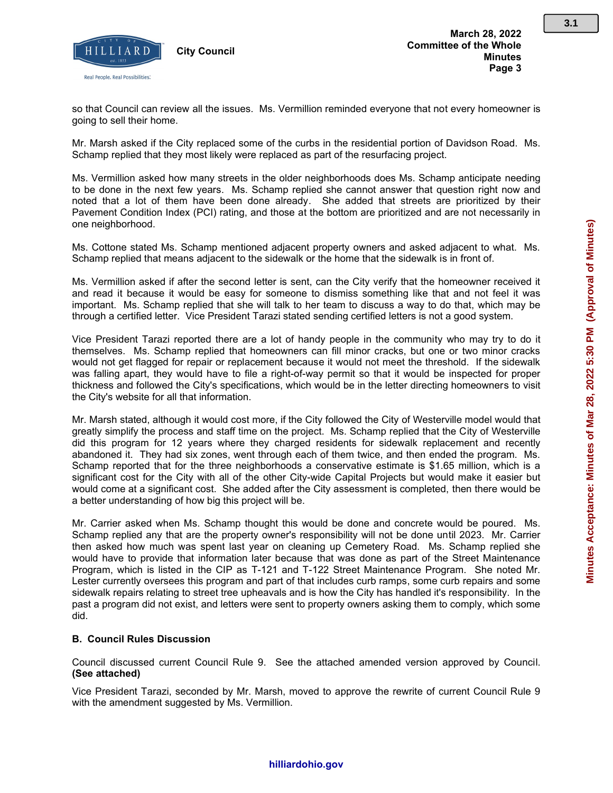

so that Council can review all the issues. Ms. Vermillion reminded everyone that not every homeowner is going to sell their home.

Mr. Marsh asked if the City replaced some of the curbs in the residential portion of Davidson Road. Ms. Schamp replied that they most likely were replaced as part of the resurfacing project.

Ms. Vermillion asked how many streets in the older neighborhoods does Ms. Schamp anticipate needing to be done in the next few years. Ms. Schamp replied she cannot answer that question right now and noted that a lot of them have been done already. She added that streets are prioritized by their Pavement Condition Index (PCI) rating, and those at the bottom are prioritized and are not necessarily in one neighborhood.

Ms. Cottone stated Ms. Schamp mentioned adjacent property owners and asked adjacent to what. Ms. Schamp replied that means adjacent to the sidewalk or the home that the sidewalk is in front of.

Ms. Vermillion asked if after the second letter is sent, can the City verify that the homeowner received it and read it because it would be easy for someone to dismiss something like that and not feel it was important. Ms. Schamp replied that she will talk to her team to discuss a way to do that, which may be through a certified letter. Vice President Tarazi stated sending certified letters is not a good system.

Vice President Tarazi reported there are a lot of handy people in the community who may try to do it themselves. Ms. Schamp replied that homeowners can fill minor cracks, but one or two minor cracks would not get flagged for repair or replacement because it would not meet the threshold. If the sidewalk was falling apart, they would have to file a right-of-way permit so that it would be inspected for proper thickness and followed the City's specifications, which would be in the letter directing homeowners to visit the City's website for all that information.

Mr. Marsh stated, although it would cost more, if the City followed the City of Westerville model would that greatly simplify the process and staff time on the project. Ms. Schamp replied that the City of Westerville did this program for 12 years where they charged residents for sidewalk replacement and recently abandoned it. They had six zones, went through each of them twice, and then ended the program. Ms. Schamp reported that for the three neighborhoods a conservative estimate is \$1.65 million, which is a significant cost for the City with all of the other City-wide Capital Projects but would make it easier but would come at a significant cost. She added after the City assessment is completed, then there would be a better understanding of how big this project will be.

Mr. Carrier asked when Ms. Schamp thought this would be done and concrete would be poured. Ms. Schamp replied any that are the property owner's responsibility will not be done until 2023. Mr. Carrier then asked how much was spent last year on cleaning up Cemetery Road. Ms. Schamp replied she would have to provide that information later because that was done as part of the Street Maintenance Program, which is listed in the CIP as T-121 and T-122 Street Maintenance Program. She noted Mr. Lester currently oversees this program and part of that includes curb ramps, some curb repairs and some sidewalk repairs relating to street tree upheavals and is how the City has handled it's responsibility. In the past a program did not exist, and letters were sent to property owners asking them to comply, which some did.

## **B. Council Rules Discussion**

Council discussed current Council Rule 9. See the attached amended version approved by Council. **(See attached)**

Vice President Tarazi, seconded by Mr. Marsh, moved to approve the rewrite of current Council Rule 9 with the amendment suggested by Ms. Vermillion.

**3.1**